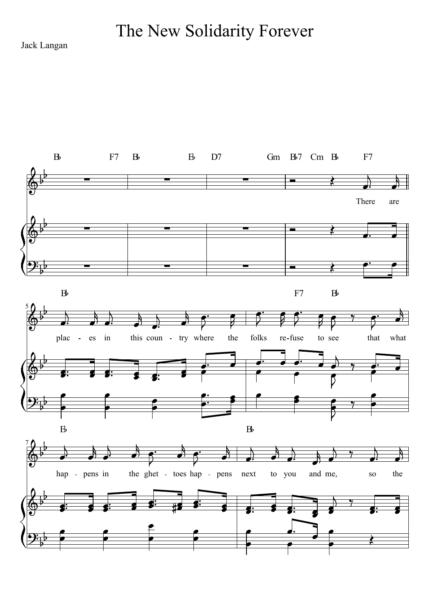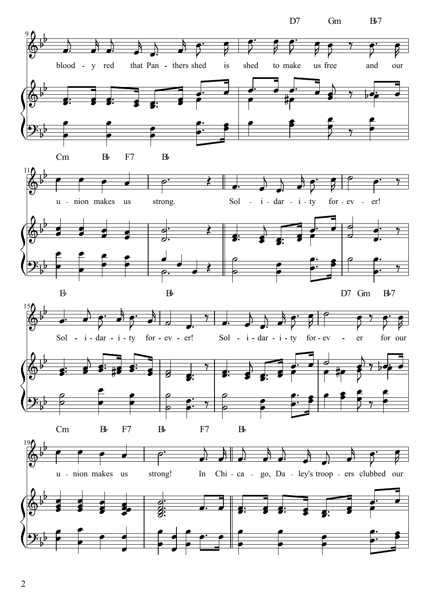

2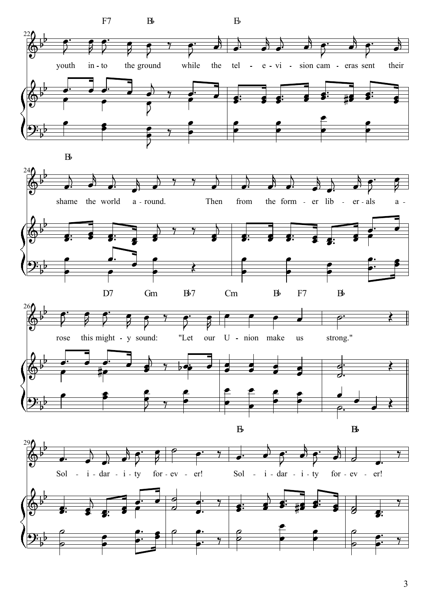





B



3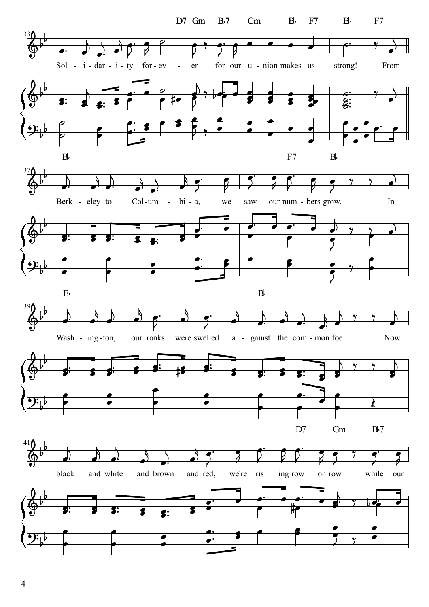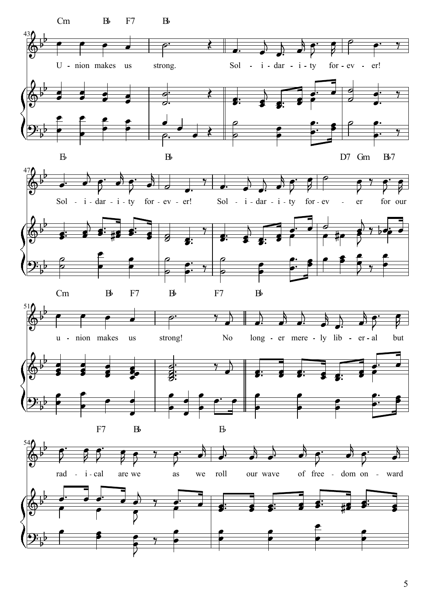



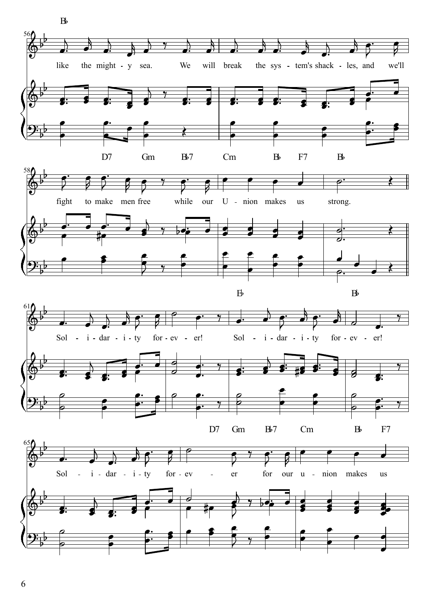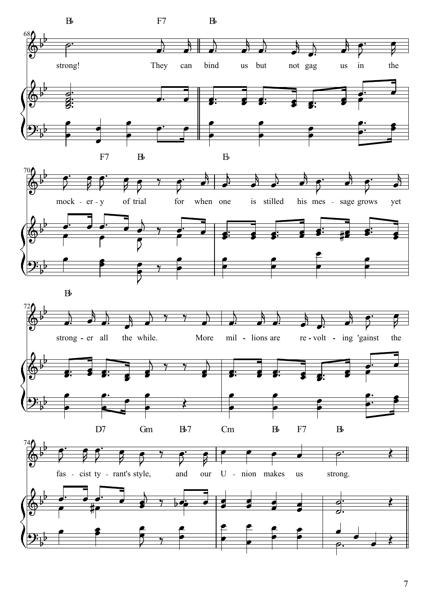







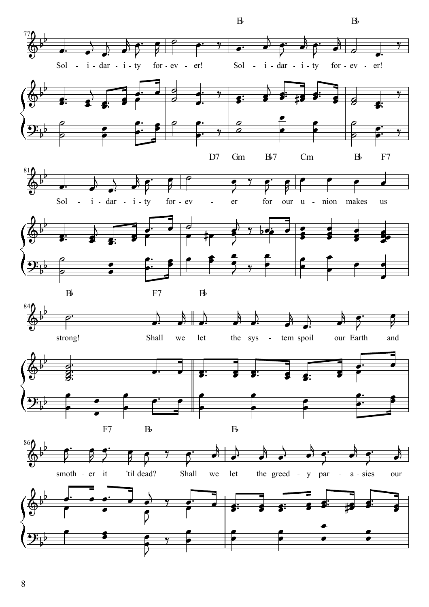







 $\mathbb B$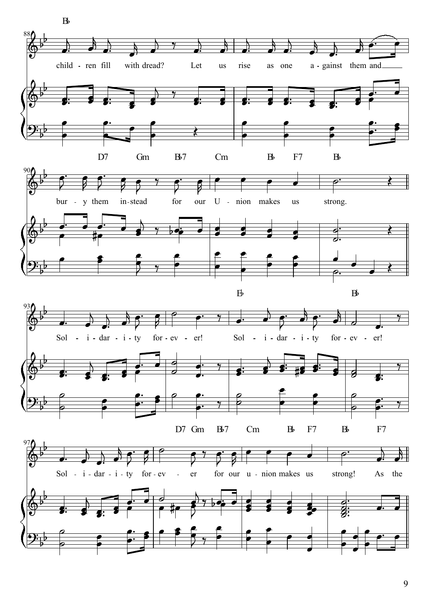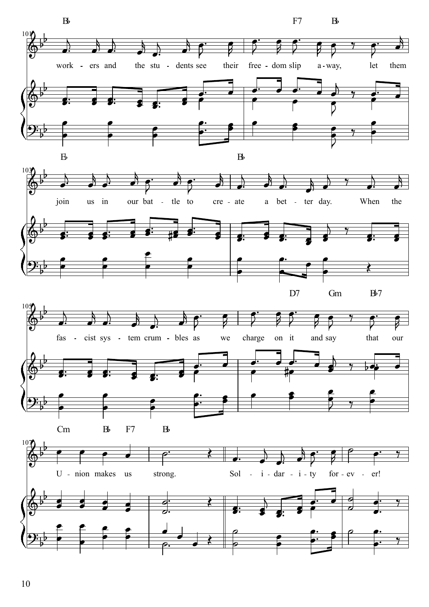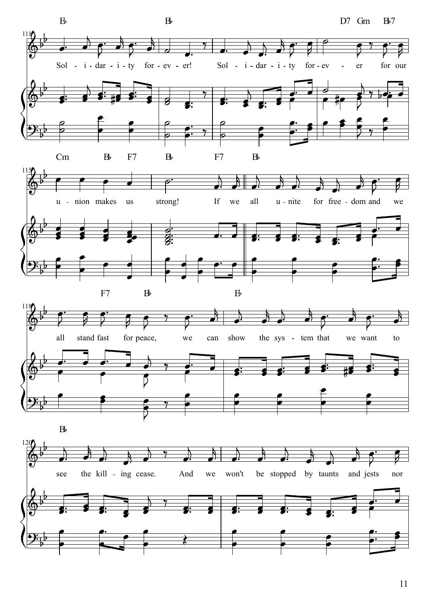

11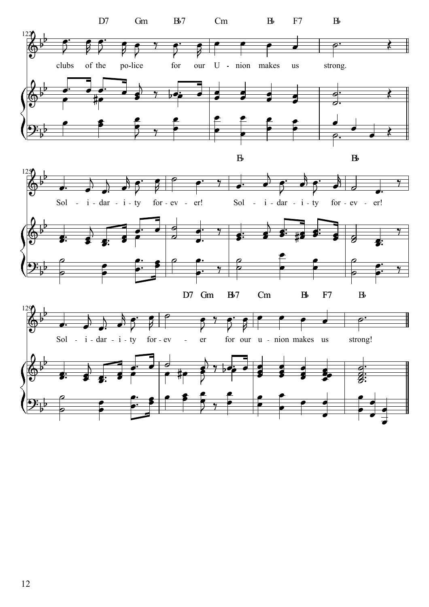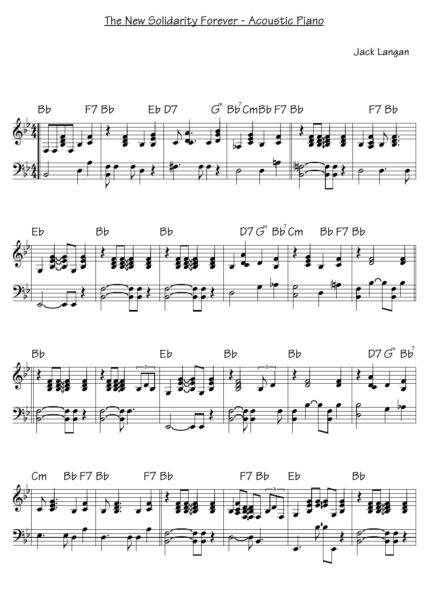





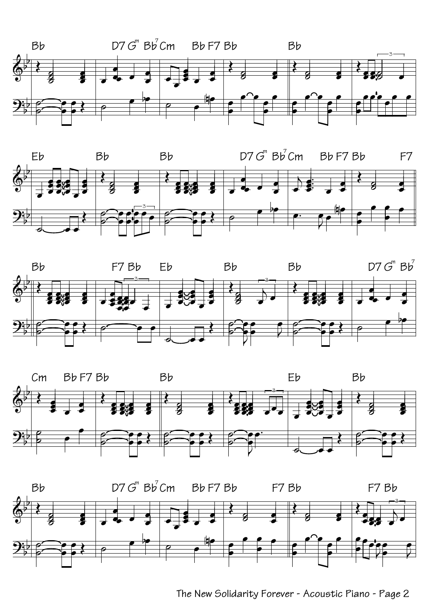









The New Solidarity Forever - Acoustic Piano - Page 2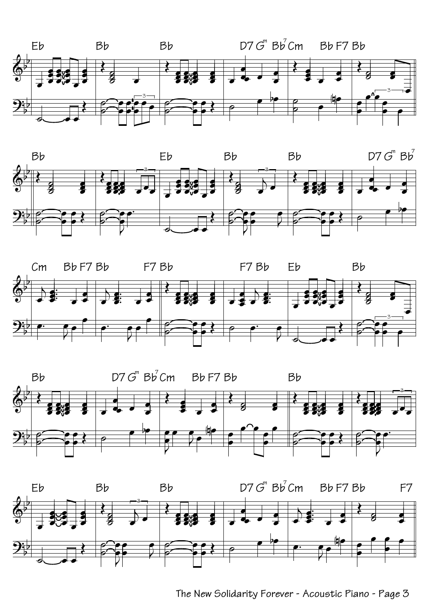









The New Solidarity Forever - Acoustic Piano - Page 3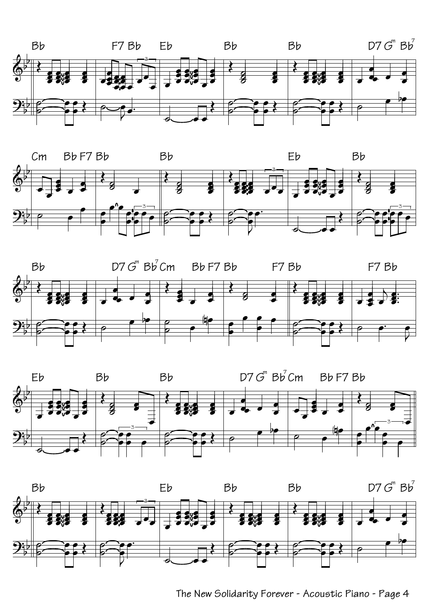









The New Solidarity Forever - Acoustic Piano - Page 4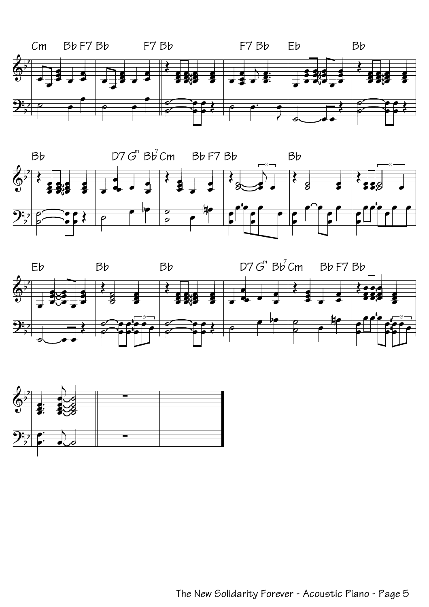





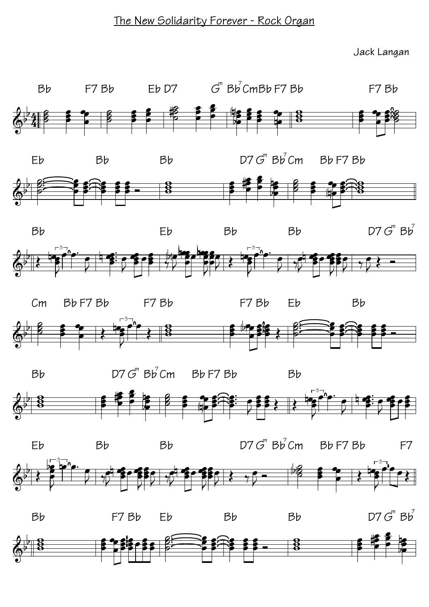## The New Solidarity Forever - Rock Organ











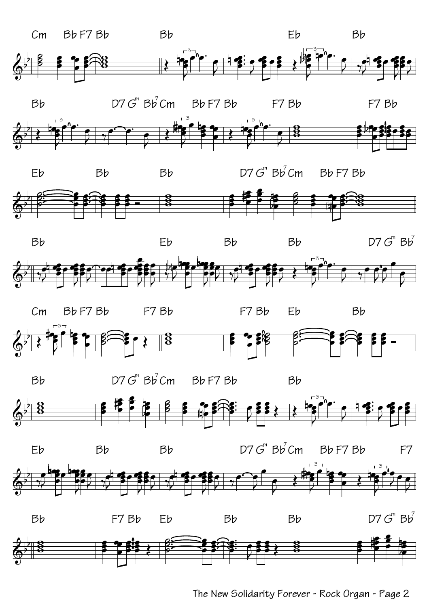















The New Solidarity Forever - Rock Organ - Page 2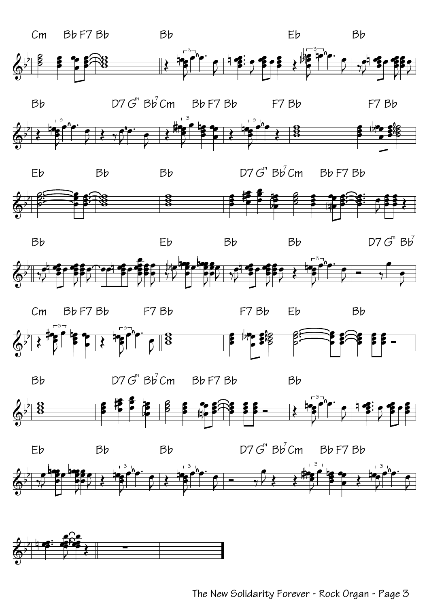













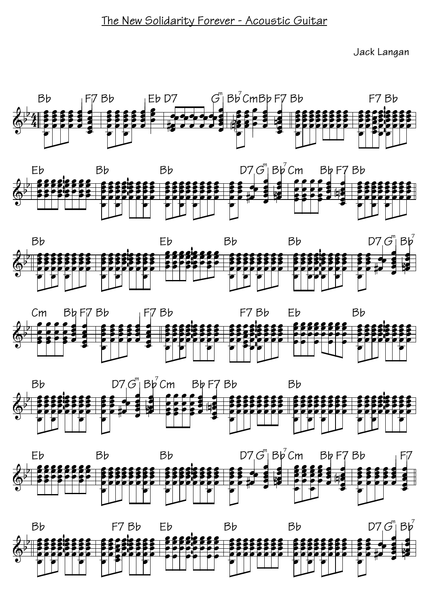## The New Solidarity Forever - Acoustic Guitar













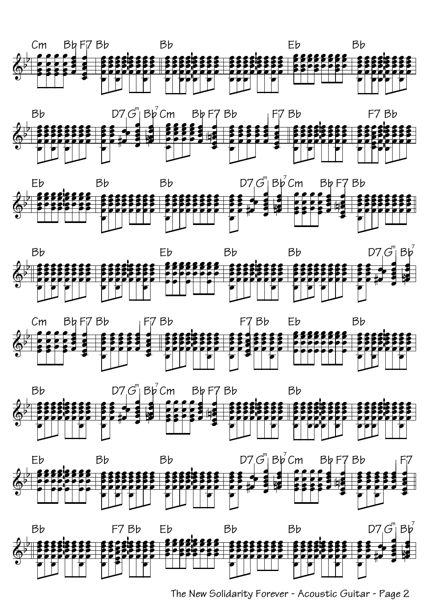















The New Solidarity Forever - Acoustic Guitar - Page 2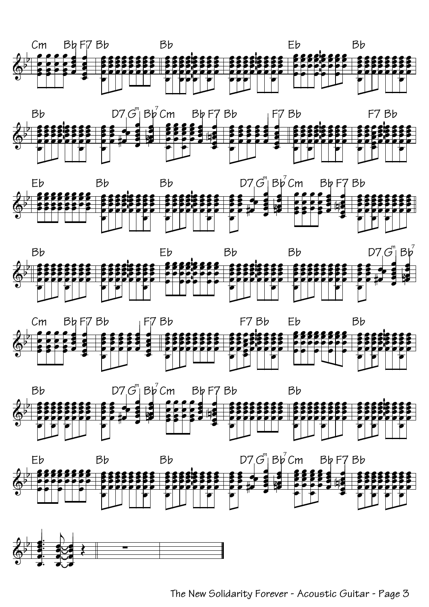













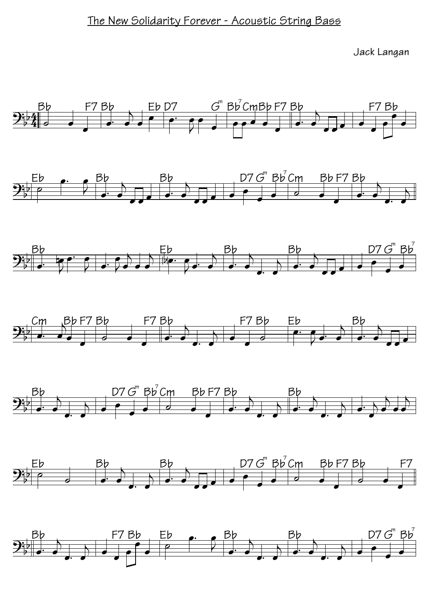## The New Solidarity Forever - Acoustic String Bass

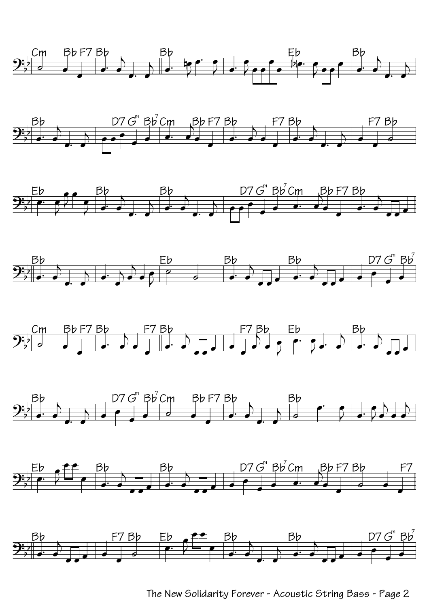















The New Solidarity Forever - Acoustic String Bass - Page 2